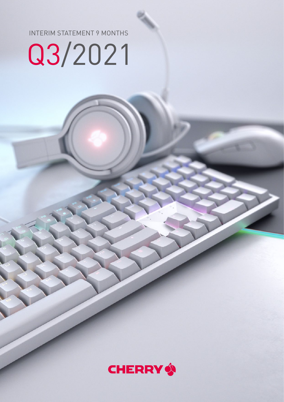INTERIM STATEMENT 9 MONTHS

# Q3/2021

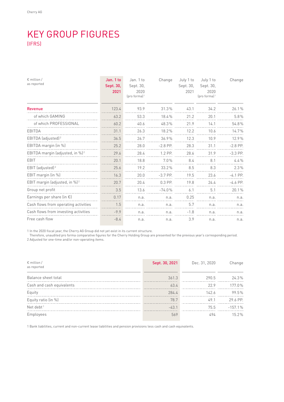## KEY GROUP FIGURES (IFRS)

| $\epsilon$ million /<br>as reported         | Jan. 1 to<br>Sept. 30,<br>2021 | Jan. 1 to<br>Sept. 30,<br>2020<br>$[pro formula]$ <sup>1</sup> | Change     | July 1 to<br>Sept. 30,<br>2021 | July 1 to<br>Sept. 30,<br>2020<br>$[pro formula]$ <sup>1</sup> | Change     |
|---------------------------------------------|--------------------------------|----------------------------------------------------------------|------------|--------------------------------|----------------------------------------------------------------|------------|
| <b>Revenue</b>                              | 123.4                          | 93.9                                                           | 31.3%      | 43.1                           | 34.2                                                           | 26.1%      |
| of which GAMING                             | 63.2                           | 53.3                                                           | 18.4%      | 21.2                           | 20.1                                                           | 5.8%       |
| of which PROFESSIONAL                       | 60.2                           | 40.6                                                           | 48.3%      | 21.9                           | 14.1                                                           | 54.8%      |
| <b>EBITDA</b>                               | 31.1                           | 26.3                                                           | 18.2%      | 12.2                           | 10.6                                                           | 14.7%      |
| EBITDA (adjusted) <sup>2</sup>              | 36.5                           | 26.7                                                           | 36.9%      | 12.3                           | 10.9                                                           | 12.9%      |
| EBITDA margin (in %)                        | 25.2                           | 28.0                                                           | $-2.8$ PP. | 28.3                           | 31.1                                                           | $-2.8$ PP. |
| EBITDA margin (adjusted, in %) <sup>2</sup> | 29.6                           | 28.4                                                           | 1.2 PP.    | 28.6                           | 31.9                                                           | $-3.3$ PP. |
| EBIT                                        | 20.1                           | 18.8                                                           | 7.0%       | 8.4                            | 8.1                                                            | 4.4%       |
| EBIT (adjusted) <sup>2</sup>                | 25.6                           | 19.2                                                           | 33.2%      | 8.5                            | 8.3                                                            | 2.3%       |
| EBIT margin (in %)                          | 16.3                           | 20.0                                                           | $-3.7$ PP. | 19.5                           | 23.6                                                           | $-4.1$ PP. |
| EBIT margin (adjusted, in %) <sup>2</sup>   | 20.7                           | 20.4                                                           | $0.3$ PP.  | 19.8                           | 24.4                                                           | $-4.6$ PP. |
| Group net profit                            | 3.5                            | 13.6                                                           | $-74.0%$   | 6.1                            | 5.1                                                            | 20.1%      |
| Earnings per share (in $\epsilon$ )         | 0.17                           | n.a.                                                           | n.a.       | 0.25                           | n.a.                                                           | n.a.       |
| Cash flows from operating activities        | 1.5                            | n.a.                                                           | n.a.       | 5.7                            | n.a.                                                           | n.a.       |
| Cash flows from investing activities        | $-9.9$                         | n.a.                                                           | n.a.       | $-1.8$                         | n.a.                                                           | n.a.       |
| Free cash flow                              | $-8.4$                         | n.a.                                                           | n.a.       | 3.9                            | n.a.                                                           | n.a.       |

1 In the 2020 fiscal year, the Cherry AG Group did not yet exist in its current structure.

Therefore, unaudited pro forma comparative figures for the Cherry Holding Group are presented for the previous year's corresponding period.

2 Adjusted for one-time and/or non-operating items.

| $\epsilon$ million /<br>as reported | Sept. 30, 2021 | Dec. 31, 2020 | Change    |
|-------------------------------------|----------------|---------------|-----------|
| Balance sheet total                 | 361.3          | 290.5         | 24.3%     |
| Cash and cash equivalents           | 63.4           | 22.9          | 177.0%    |
| Equity                              | 284.4          | 142.6         | 99.5%     |
| Equity ratio (in %)                 | 78.7           | 49.1          | 29.6 PP.  |
| Net debt <sup>1</sup>               | $-43.1$        | 75.5          | $-157.1%$ |
| Employees                           | 569            | 494           | $15.2\%$  |

1 Bank liabilities, current and non-current lease liabilities and pension provisions less cash and cash equivalents.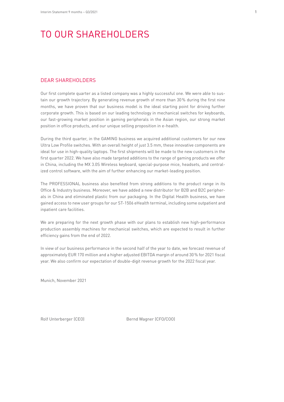## TO OUR SHAREHOLDERS

#### DEAR SHAREHOLDERS

Our first complete quarter as a listed company was a highly successful one. We were able to sustain our growth trajectory. By generating revenue growth of more than 30% during the first nine months, we have proven that our business model is the ideal starting point for driving further corporate growth. This is based on our leading technology in mechanical switches for keyboards, our fast-growing market position in gaming peripherals in the Asian region, our strong market position in office products, and our unique selling proposition in e-health.

During the third quarter, in the GAMING business we acquired additional customers for our new Ultra Low Profile switches. With an overall height of just 3.5 mm, these innovative components are ideal for use in high-quality laptops. The first shipments will be made to the new customers in the first quarter 2022. We have also made targeted additions to the range of gaming products we offer in China, including the MX 3.0S Wireless keyboard, special-purpose mice, headsets, and centralized control software, with the aim of further enhancing our market-leading position.

The PROFESSIONAL business also benefited from strong additions to the product range in its Office & Industry business. Moreover, we have added a new distributor for B2B and B2C peripherals in China and eliminated plastic from our packaging. In the Digital Health business, we have gained access to new user groups for our ST-1506 eHealth terminal, including some outpatient and inpatient care facilities.

We are preparing for the next growth phase with our plans to establish new high-performance production assembly machines for mechanical switches, which are expected to result in further efficiency gains from the end of 2022.

In view of our business performance in the second half of the year to date, we forecast revenue of approximately EUR 170 million and a higher adjusted EBITDA margin of around 30% for 2021 fiscal year. We also confirm our expectation of double-digit revenue growth for the 2022 fiscal year.

Munich, November 2021

Rolf Unterberger (CEO) Bernd Wagner (CFO/COO)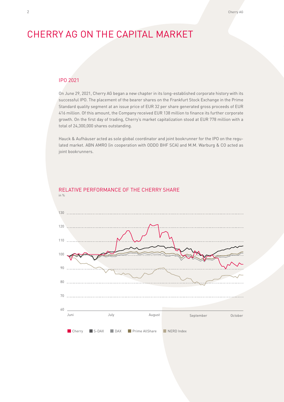## CHERRY AG ON THE CAPITAL MARKET

#### IPO 2021

On June 29, 2021, Cherry AG began a new chapter in its long-established corporate history with its successful IPO. The placement of the bearer shares on the Frankfurt Stock Exchange in the Prime Standard quality segment at an issue price of EUR 32 per share generated gross proceeds of EUR 416 million. Of this amount, the Company received EUR 138 million to finance its further corporate growth. On the first day of trading, Cherry's market capitalization stood at EUR 778 million with a total of 24,300,000 shares outstanding.

Hauck & Aufhäuser acted as sole global coordinator and joint bookrunner for the IPO on the regulated market. ABN AMRO (in cooperation with ODDO BHF SCA) and M.M. Warburg & CO acted as joint bookrunners.



#### RELATIVE PERFORMANCE OF THE CHERRY SHARE  $in \frac{0}{6}$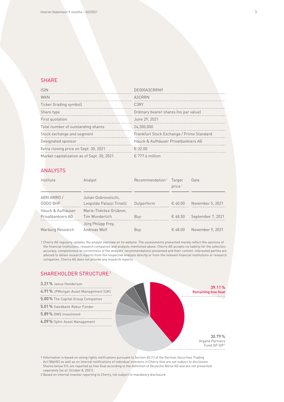#### **SHARE**

| <b>ISIN</b>                                | DE000A3CRRN9                              |
|--------------------------------------------|-------------------------------------------|
| <b>WKN</b>                                 | A3CRRN                                    |
| Ticker (trading symbol)                    | C3RY                                      |
| Share type                                 | Ordinary bearer shares (no par value)     |
| First quotation                            | June 29, 2021                             |
| Total number of outstanding shares         | 24.300.000                                |
| Stock exchange and segment                 | Frankfurt Stock Exchange / Prime Standard |
| Designated sponsor                         | Hauck & Aufhäuser Privatbankiers AG       |
| Xetra closing price on Sept. 30, 2021      | € 32.00                                   |
| Market capitalization as of Sept. 30, 2021 | $\epsilon$ 777.6 million                  |

#### ANALYSTS

| Institute         | Analyst                   | Recommendation <sup>1</sup> | Target<br>price <sup>1</sup> | Date              |
|-------------------|---------------------------|-----------------------------|------------------------------|-------------------|
| ABN AMRO/         | Julian Dobrovolschi,      |                             |                              |                   |
| ODDO BHF          | Leopoldo Palazzi Trivelli | Outperform                  | € 40.00                      | November 5, 2021  |
| Hauck & Aufhäuser | Marie-Thérèse Grübner,    |                             |                              |                   |
| Privatbankiers AG | Tim Wunderlich            | Buy                         | € 48.50                      | September 7, 2021 |
|                   | Jörg Philipp Frey,        |                             |                              |                   |
| Warburg Research  | Andreas Wolf              | Buy                         | € 48.00                      | November 9, 2021  |

1 Cherry AG regularly updates the analyst overview on its website. The assessments presented merely reflect the opinions of the financial institutions, research companies and analysts mentioned above. Cherry AG accepts no liability for the selection, accuracy, completeness or correctness of the analysts' recommendations presented and their content. Interested parties are advised to obtain research reports from the respective analysts directly or from the relevant financial institutions or research companies. Cherry AG does not provide any research reports.

#### SHAREHOLDER STRUCTURE1



1 Information is based on voting rights notifications pursuant to Section 40 (1) of the German Securities Trading Act (WpHG) as well as on internal notifications of individual investors in Cherry that are not subject to disclosure. Shares below 5% are reported as free float according to the definition of Deutsche Börse AG and are not presented separately (as of: October 8, 2021).

2 Based on internal investor reporting to Cherry, not subject to mandatory disclosure.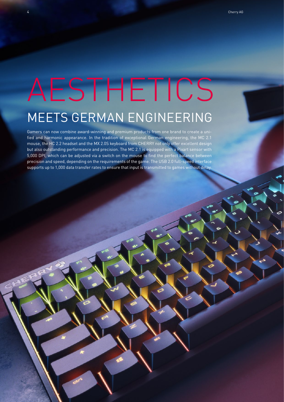## AESTHETICS MEETS GERMAN ENGINEERING

Gamers can now combine award-winning and premium products from one brand to create a unified and harmonic appearance. In the tradition of exceptional German engineering, the MC 2.1 mouse, the HC 2.2 headset and the MX 2.0S keyboard from CHERRY not only offer excellent design but also outstanding performance and precision. The MC 2.1 is equipped with a Pixart sensor with 5,000 DPI, which can be adjusted via a switch on the mouse to find the perfect balance between precision and speed, depending on the requirements of the game. The USB 2.0 full-speed interface supports up to 1,000 data transfer rates to ensure that input is transmitted to games without delay.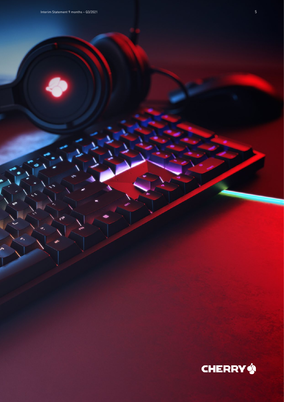6

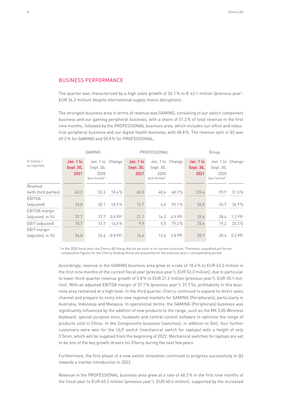#### BUSINESS PERFORMANCE

The quarter was characterized by a high sales growth of 26.1% to  $\epsilon$  43.1 million (previous year<sup>1</sup>: EUR 34.2 million) despite international supply chains disruptions.

The strongest business area in terms of revenue was GAMING, consisting of our switch component business and our gaming peripheral business, with a share of 51.2% of total revenue in the first nine months, followed by the PROFESSIONAL business area, which includes our office and industrial peripheral business and our digital health business, with 48.8%. The revenue split in Q3 was 49.2% for GAMING and 50.8% for PROFESSIONAL.

|                                     |                                | <b>GAMING</b>                                                         |                |                                | PROFESSIONAL                                                          |         |                                | Group                                                                 |         |
|-------------------------------------|--------------------------------|-----------------------------------------------------------------------|----------------|--------------------------------|-----------------------------------------------------------------------|---------|--------------------------------|-----------------------------------------------------------------------|---------|
| $\epsilon$ million /<br>as reported | Jan. 1 to<br>Sept. 30,<br>2021 | Jan. 1 to Change<br>Sept. 30,<br>2020<br>$[pro formula]$ <sup>1</sup> |                | Jan. 1 to<br>Sept. 30,<br>2021 | Jan. 1 to Change<br>Sept. 30,<br>2020<br>$[pro formula]$ <sup>1</sup> |         | Jan. 1 to<br>Sept. 30,<br>2021 | Jan. 1 to Change<br>Sept. 30,<br>2020<br>$[pro formula]$ <sup>1</sup> |         |
| Revenue                             |                                |                                                                       |                |                                |                                                                       |         |                                |                                                                       |         |
| (with third parties)                | 63.2                           | 53.3                                                                  | 18.4%          | 60.2                           | 40.6                                                                  | 48.3%   | 123.4                          | 93.9                                                                  | 31.3%   |
| EBITDA                              |                                |                                                                       |                |                                |                                                                       |         |                                |                                                                       |         |
| (adjusted)                          | 23.8                           | 20.1                                                                  | 18.5%          | 12.7                           | 6.6                                                                   | 93.1%   | 36.5                           | 26.7                                                                  | 36.9%   |
| EBITDA margin                       |                                |                                                                       |                |                                |                                                                       |         |                                |                                                                       |         |
| (adjusted, in %)                    | 37.7                           | 37.7                                                                  | $0.0$ PP.      | 21.1                           | 16.2                                                                  | 4.9 PP. | 29.6                           | 28.4                                                                  | 1.2 PP. |
| EBIT (adjusted)                     | 15.7                           | 13.7                                                                  | 14.6%          | 9.9                            | 5.5                                                                   | 79.2%   | 25.6                           | 19.2                                                                  | 33.2%   |
| EBIT margin                         |                                |                                                                       |                |                                |                                                                       |         |                                |                                                                       |         |
| (adjusted, in %)                    | 24.8                           |                                                                       | 25.6 - 0.8 PP. | 16.4                           | 13.6                                                                  | 2.8 PP. | 20.7                           | 20.4                                                                  | 0.3 PP. |

1 In the 2020 fiscal year, the Cherry AG Group did not yet exist in its current structure. Therefore, unaudited pro forma comparative figures for the Cherry Holding Group are presented for the previous year's corresponding period.

Accordingly, revenue in the GAMING business area grew at a rate of 18.4% to EUR 63.2 million in the first nine months of the current fiscal year (previous year<sup>1</sup>): EUR 53.3 million), due in particular to lower third-quarter revenue growth of 5.8% to EUR 21.2 million (previous year<sup>1</sup>): EUR 20.1 million). With an adjusted EBITDA margin of 37.7% (previous year1 ): 37.7%), profitability in this business area remained at a high level. In the third quarter, Cherry continued to expand its direct sales channel and prepare its entry into new regional markets for GAMING (Peripherals), particularly in Australia, Indonesia and Malaysia. In operational terms, the GAMING (Peripherals) business was significantly influenced by the addition of new products to the range, such as the MX 3.0S Wireless keyboard, special-purpose mice, headsets and central control software to optimize the range of products sold in China. In the Components business (switches), in addition to Dell, four further customers were won for the ULP switch (mechanical switch for laptops) with a height of only 3.5mm, which will be supplied from the beginning of 2022. Mechanical switches for laptops are set to be one of the key growth drivers for Cherry during the next few years.

Furthermore, the first phase of a new switch innovation continued to progress successfully in Q3 towards a market introduction in 2022.

Revenue in the PROFESSIONAL business area grew at a rate of 48.3% in the first nine months of the fiscal year to EUR 60.2 million (previous year'): EUR 40.6 million), supported by the increased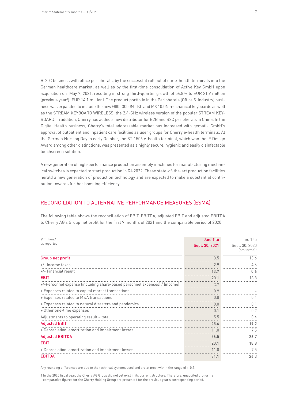B-2-C business with office peripherals, by the successful roll out of our e-health terminals into the German healthcare market, as well as by the first-time consolidation of Active Key GmbH upon acquisition on May 7, 2021, resulting in strong third-quarter growth of 54.8% to EUR 21.9 million (previous year1 ): EUR 14.1 million). The product portfolio in the Peripherals (Office & Industry) business was expanded to include the new G80–3000N TKL and MX 10.0N mechanical keyboards as well as the STREAM KEYBOARD WIRELESS, the 2.4-GHz wireless version of the popular STREAM KEY-BOARD. In addition, Cherry has added a new distributor for B2B and B2C peripherals in China. In the Digital Health business, Cherry's total addressable market has increased with gematik GmbH's approval of outpatient and inpatient care facilities as user groups for Cherry e-health terminals. At the German Nursing Day in early October, the ST-1506 e-health terminal, which won the iF Design Award among other distinctions, was presented as a highly secure, hygienic and easily disinfectable touchscreen solution.

A new generation of high-performance production assembly machines for manufacturing mechanical switches is expected to start production in Q4 2022. These state-of-the-art production facilities herald a new generation of production technology and are expected to make a substantial contribution towards further boosting efficiency.

#### RECONCILIATION TO ALTERNATIVE PERFORMANCE MEASURES (ESMA)

The following table shows the reconciliation of EBIT, EBITDA, adjusted EBIT and adjusted EBITDA to Cherry AG's Group net profit for the first 9 months of 2021 and the comparable period of 2020:

| $\epsilon$ million /                                                       | Jan. 1 to      | Jan. 1 to                                      |
|----------------------------------------------------------------------------|----------------|------------------------------------------------|
| as reported                                                                | Sept. 30, 2021 | Sept. 30, 2020<br>$[pro formula]$ <sup>1</sup> |
| Group net profit                                                           | 3.5            | 13.6                                           |
| $+/-$ Income taxes                                                         | 2.9            | 4.6                                            |
| +/- Financial result                                                       | 13.7           | 0.6                                            |
| <b>EBIT</b>                                                                | 20.1           | 18.8                                           |
| +/-Personnel expense (including share-based personnel expenses) / (income) | 3.7            |                                                |
| + Expenses related to capital market transactions                          | 0.9            |                                                |
| + Expenses related to M&A transactions                                     | 0.8            | 0.1                                            |
| + Expenses related to natural disasters and pandemics                      | 0.0            | 0.1                                            |
| + Other one-time expenses                                                  | 0.1            | 0.2                                            |
| Adjustments to operating result - total                                    | 5.5            | 0.4                                            |
| <b>Adjusted EBIT</b>                                                       | 25.6           | 19.2                                           |
| + Depreciation, amortization and impairment losses                         | 11.0           | 7.5                                            |
| <b>Adjusted EBITDA</b>                                                     | 36.5           | 26.7                                           |
| <b>EBIT</b>                                                                | 20.1           | 18.8                                           |
| + Depreciation, amortization and impairment losses                         | 11.0           | 7.5                                            |
| <b>EBITDA</b>                                                              | 31.1           | 26.3                                           |

Any rounding differences are due to the technical systems used and are at most within the range of +-0.1.

1 In the 2020 fiscal year, the Cherry AG Group did not yet exist in its current structure. Therefore, unaudited pro forma comparative figures for the Cherry Holding Group are presented for the previous year's corresponding period.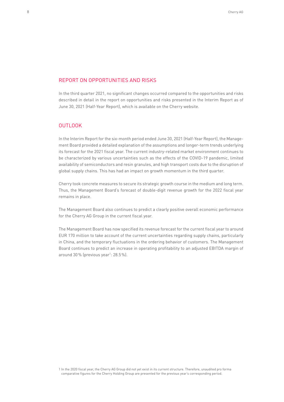#### REPORT ON OPPORTUNITIES AND RISKS

In the third quarter 2021, no significant changes occurred compared to the opportunities and risks described in detail in the report on opportunities and risks presented in the Interim Report as of June 30, 2021 (Half-Year Report), which is available on the Cherry website.

#### OUTLOOK

In the Interim Report for the six-month period ended June 30, 2021 (Half-Year Report), the Management Board provided a detailed explanation of the assumptions and longer-term trends underlying its forecast for the 2021 fiscal year. The current industry-related market environment continues to be characterized by various uncertainties such as the effects of the COVID-19 pandemic, limited availability of semiconductors and resin granules, and high transport costs due to the disruption of global supply chains. This has had an impact on growth momentum in the third quarter.

Cherry took concrete measures to secure its strategic growth course in the medium and long term. Thus, the Management Board's forecast of double-digit revenue growth for the 2022 fiscal year remains in place.

The Management Board also continues to predict a clearly positive overall economic performance for the Cherry AG Group in the current fiscal year.

The Management Board has now specified its revenue forecast for the current fiscal year to around EUR 170 million to take account of the current uncertainties regarding supply chains, particularly in China, and the temporary fluctuations in the ordering behavior of customers. The Management Board continues to predict an increase in operating profitability to an adjusted EBITDA margin of around 30% (previous year<sup>1</sup>: 28.5%).

1 In the 2020 fiscal year, the Cherry AG Group did not yet exist in its current structure. Therefore, unaudited pro forma comparative figures for the Cherry Holding Group are presented for the previous year's corresponding period.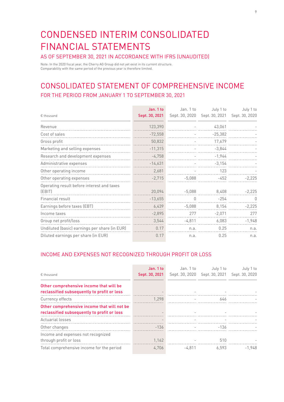## CONDENSED INTERIM CONSOLIDATED FINANCIAL STATEMENTS

#### AS OF SEPTEMBER 30, 2021 IN ACCORDANCE WITH IFRS (UNAUDITED)

Note: In the 2020 fiscal year, the Cherry AG Group did not yet exist in its current structure. Comparability with the same period of the previous year is therefore limited.

## CONSOLIDATED STATEMENT OF COMPREHENSIVE INCOME FOR THE PERIOD FROM JANUARY 1 TO SEPTEMBER 30, 2021

| € thousand                                    | Jan. 1 to<br>Sept. 30, 2021 | Jan. 1 to<br>Sept. 30, 2020 | July 1 to<br>Sept. 30, 2021 | July 1 to<br>Sept. 30, 2020 |
|-----------------------------------------------|-----------------------------|-----------------------------|-----------------------------|-----------------------------|
|                                               |                             |                             |                             |                             |
| Revenue                                       | 123,390                     |                             | 43,061                      |                             |
| Cost of sales                                 | $-72,558$                   |                             | $-25,382$                   |                             |
| Gross profit                                  | 50,832                      |                             | 17,679                      |                             |
| Marketing and selling expenses                | $-11,315$                   |                             | $-3,844$                    |                             |
| Research and development expenses             | $-4,758$                    |                             | $-1,944$                    |                             |
| Administrative expenses                       | $-14,631$                   |                             | $-3,154$                    |                             |
| Other operating income                        | 2,681                       |                             | 123                         |                             |
| Other operating expenses                      | $-2,715$                    | $-5,088$                    | $-452$                      | $-2,225$                    |
| Operating result before interest and taxes    |                             |                             |                             |                             |
| (EBIT)                                        | 20,094                      | $-5,088$                    | 8,408                       | $-2,225$                    |
| Financial result                              | $-13,655$                   | $\Omega$                    | $-254$                      | $\cup$                      |
| Earnings before taxes (EBT)                   | 6,439                       | $-5,088$                    | 8,154                       | $-2,225$                    |
| Income taxes                                  | $-2,895$                    | 277                         | $-2,071$                    | 277                         |
| Group net profit/loss                         | 3,544                       | $-4,811$                    | 6,083                       | $-1,948$                    |
| Undiluted (basic) earnings per share (in EUR) | 0.17                        | n.a.                        | 0.25                        | n.a.                        |
| Diluted earnings per share (in EUR)           | 0.17                        | n.a.                        | 0.25                        | n.a.                        |

#### INCOME AND EXPENSES NOT RECOGNIZED THROUGH PROFIT OR LOSS

|                                                                                        | Jan. 1 to      | Jan. 1 to      | July 1 to      | July 1 to      |
|----------------------------------------------------------------------------------------|----------------|----------------|----------------|----------------|
| € thousand                                                                             | Sept. 30, 2021 | Sept. 30, 2020 | Sept. 30, 2021 | Sept. 30, 2020 |
| Other comprehensive income that will be<br>reclassified subsequently to profit or loss |                |                |                |                |
| Currency effects                                                                       | 1.298          |                | 646            |                |
| Other comprehensive income that will not be                                            |                |                |                |                |
| reclassified subsequently to profit or loss                                            |                |                |                |                |
| Actuarial losses                                                                       |                |                |                |                |
| Other changes                                                                          | $-136$         |                | -136           |                |
| Income and expenses not recognized<br>through profit or loss                           | 1,162          |                | 510            |                |
| Total comprehensive income for the period                                              | 4.706          | $-4.811$       | 6.593          | $-1.948$       |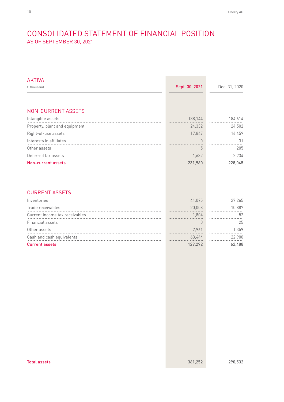## CONSOLIDATED STATEMENT OF FINANCIAL POSITION AS OF SEPTEMBER 30, 2021

| <b>AKTIVA</b>                  |                |               |
|--------------------------------|----------------|---------------|
| € thousand                     | Sept. 30, 2021 | Dec. 31, 2020 |
|                                |                |               |
| <b>NON-CURRENT ASSETS</b>      |                |               |
| Intangible assets              | 188,144        | 184,614       |
| Property, plant and equipment  | 24,332         | 24,502        |
| Right-of-use assets            | 17,847         | 16,459        |
| Interests in affiliates        | $\theta$       | 31            |
| Other assets                   | 5              | 205           |
| Deferred tax assets            | 1,632          | 2,234         |
| <b>Non-current assets</b>      | 231,960        | 228,045       |
| <b>CURRENT ASSETS</b>          |                |               |
| Inventories                    | 41,075         | 27,265        |
| Trade receivables              | 20,008         | 10,887        |
| Current income tax receivables | 1,804          | 52            |
| Financial assets               | $\theta$       | 25            |
| Other assets                   | 2,961          | 1,359         |
| Cash and cash equivalents      | 63,444         | 22,900        |
| <b>Current assets</b>          | 129,292        | 62,488        |
|                                |                |               |
|                                |                |               |
|                                |                |               |
|                                |                |               |

Total assets 361,252 290,532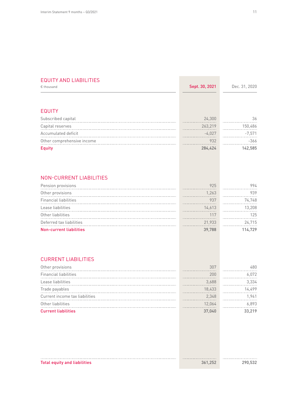#### EQUITY AND LIABILITIES

| € thousand                                       | Sept. 30, 2021 | Dec. 31, 2020 |
|--------------------------------------------------|----------------|---------------|
|                                                  |                |               |
| <b>EQUITY</b>                                    |                |               |
| Subscribed capital                               | 24,300         | 36            |
| Capital reserves                                 | 263,219        | 150,486       |
| Accumulated deficit                              | $-4,027$       | $-7,571$      |
| Other comprehensive income                       | 932            | $-366$        |
| <b>Equity</b>                                    | 284,424        | 142,585       |
| <b>NON-CURRENT LIABILITIES</b>                   |                |               |
| Pension provisions                               | 925            | 994           |
| Other provisions                                 | 1,263          | 939           |
| <b>Financial liabilities</b>                     | 937            | 74,748        |
| Lease liabilities                                | 14,613         | 13,208        |
| Other liabilities                                | 117            | 125           |
| Deferred tax liabilities                         | 21,933         | 24,715        |
| <b>Non-current liabilities</b>                   | 39,788         | 114,729       |
| <b>CURRENT LIABILITIES</b>                       |                |               |
|                                                  | 307            | 480           |
| Other provisions<br><b>Financial liabilities</b> | 200            | 6,072         |
| Lease liabilities                                | 3,688          | 3,334         |
| Trade payables                                   | 18,433         | 14,499        |
| Current income tax liabilities                   | 2,348          | 1,941         |
| Other liabilities                                | 12,064         | 6,893         |
| <b>Current liabilities</b>                       | 37,040         | 33,219        |
|                                                  |                |               |
|                                                  |                |               |
|                                                  |                |               |
|                                                  |                |               |
|                                                  |                |               |
|                                                  |                |               |
| <b>Total equity and liabilities</b>              | 361,252        | 290,532       |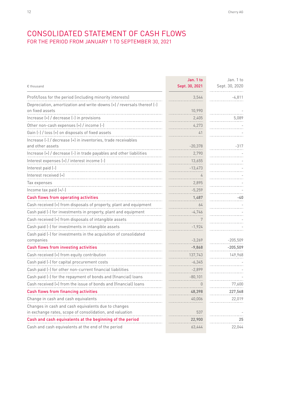### CONSOLIDATED STATEMENT OF CASH FLOWS FOR THE PERIOD FROM JANUARY 1 TO SEPTEMBER 30, 2021

| € thousand                                                                        | Jan. 1 to<br>Sept. 30, 2021 | Jan. 1 to<br>Sept. 30, 2020 |
|-----------------------------------------------------------------------------------|-----------------------------|-----------------------------|
| Profit/loss for the period (including minority interests)                         | 3,544                       | $-4,811$                    |
| Depreciation, amortization and write-downs (+) / reversals thereof (-)            |                             |                             |
| on fixed assets                                                                   | 10,990                      |                             |
| Increase (+) / decrease (-) in provisions                                         | 2,405                       | 5,089                       |
| Other non-cash expenses (+) / income (-)                                          | 4,273                       |                             |
| Gain (-) / loss (+) on disposals of fixed assets                                  | 41                          |                             |
| Increase (-) / decrease (+) in inventories, trade receivables<br>and other assets | $-20,378$                   | -317                        |
| Increase (+) / decrease (-) in trade payables and other liabilities               | 2,790                       |                             |
| Interest expenses (+) / interest income (-)                                       | 13,655                      |                             |
| Interest paid (-)                                                                 | $-13,473$                   |                             |
| Interest received (+)                                                             |                             |                             |
| Tax expenses                                                                      | 2,895                       |                             |
| Income tax paid $(+/-)$                                                           | $-5,259$                    |                             |
| Cash flows from operating activities                                              | 1,487                       | -40                         |
| Cash received (+) from disposals of property, plant and equipment                 | 64                          |                             |
| Cash paid (-) for investments in property, plant and equipment                    | $-4,746$                    |                             |
| Cash received (+) from disposals of intangible assets                             | 7                           |                             |
| Cash paid (-) for investments in intangible assets                                | $-1,924$                    |                             |
| Cash paid (-) for investments in the acquisition of consolidated                  |                             |                             |
| companies                                                                         | $-3,269$                    | $-205,509$                  |
| Cash flows from investing activities                                              | $-9,868$                    | $-205,509$                  |
| Cash received (+) from equity contribution                                        | 137,743                     | 149,968                     |
| Cash paid (-) for capital procurement costs                                       | $-6,345$                    |                             |
| Cash paid (-) for other non-current financial liabilities                         | $-2,899$                    |                             |
| Cash paid (-) for the repayment of bonds and (financial) loans                    | $-80,101$                   |                             |
| Cash received (+) from the issue of bonds and (financial) loans                   | 0                           | 77,600                      |
| Cash flows from financing activities                                              | 48,398                      | 227,568                     |
| Change in cash and cash equivalents                                               | 40,006                      | 22,019                      |
| Changes in cash and cash equivalents due to changes                               |                             |                             |
| in exchange rates, scope of consolidation, and valuation                          | 537                         |                             |
| Cash and cash equivalents at the beginning of the period                          | 22,900                      | 25                          |
| Cash and cash equivalents at the end of the period                                | 63,444                      | 22,044                      |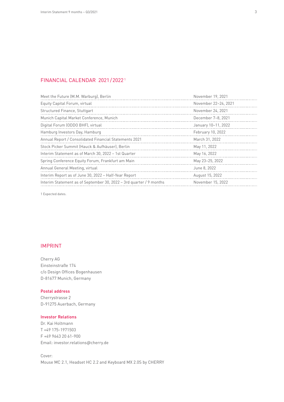#### FINANCIAL CALENDAR 2021/20221

| Meet the Future (M.M. Warburg), Berlin                              | November 19, 2021    |
|---------------------------------------------------------------------|----------------------|
| Equity Capital Forum, virtual                                       | November 22-24, 2021 |
| Structured Finance, Stuttgart                                       | November 24, 2021    |
| Munich Capital Market Conference, Munich                            | December 7-8, 2021   |
| Digital Forum (ODDO BHF), virtual                                   | January 10-11, 2022  |
| Hamburg Investors Day, Hamburg                                      | February 10, 2022    |
| Annual Report / Consolidated Financial Statements 2021              | March 31, 2022       |
| Stock Picker Summit (Hauck & Aufhäuser), Berlin                     | May 11, 2022         |
| Interim Statement as of March 30, 2022 - 1st Quarter                | May 16, 2022         |
| Spring Conference Equity Forum, Frankfurt am Main                   | May 23-25, 2022      |
| Annual General Meeting, virtual                                     | June 8, 2022         |
| Interim Report as of June 30, 2022 - Half-Year Report               | August 15, 2022      |
| Interim Statement as of September 30, 2022 - 3rd quarter / 9 months | November 15, 2022    |
|                                                                     |                      |

1 Expected dates.

#### IMPRINT

Cherry AG Einsteinstraße 174 c/o Design Offices Bogenhausen D-81677 Munich, Germany

#### Postal address

Cherrystrasse 2 D-91275 Auerbach, Germany

#### Investor Relations

Dr. Kai Holtmann T +49 175-1971503 F +49 9643 20 61-900 Email: investor.relations@cherry.de

Cover: Mouse MC 2.1, Headset HC 2.2 and Keyboard MX 2.0S by CHERRY